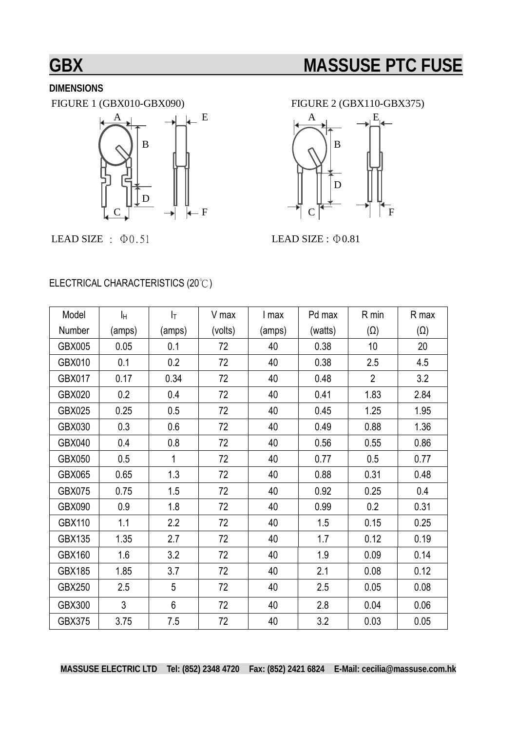# **GBX** MASSUSE PTC FUSE

## **DIMENSIONS**



LEAD SIZE :  $\Phi$ 0.51 LEAD SIZE :  $\Phi$ 0.81

FIGURE 1 (GBX010-GBX090) FIGURE 2 (GBX110-GBX375)



#### ELECTRICAL CHARACTERISTICS (20℃)

| Model         | Iн     | $ _{\mathsf{T}}$ | V max   | I max  | Pd max  | R min          | R max      |
|---------------|--------|------------------|---------|--------|---------|----------------|------------|
| Number        | (amps) | (amps)           | (volts) | (amps) | (watts) | $(\Omega)$     | $(\Omega)$ |
| <b>GBX005</b> | 0.05   | 0.1              | 72      | 40     | 0.38    | 10             | 20         |
| <b>GBX010</b> | 0.1    | 0.2              | 72      | 40     | 0.38    | 2.5            | 4.5        |
| <b>GBX017</b> | 0.17   | 0.34             | 72      | 40     | 0.48    | $\overline{2}$ | 3.2        |
| <b>GBX020</b> | 0.2    | 0.4              | 72      | 40     | 0.41    | 1.83           | 2.84       |
| <b>GBX025</b> | 0.25   | 0.5              | 72      | 40     | 0.45    | 1.25           | 1.95       |
| GBX030        | 0.3    | 0.6              | 72      | 40     | 0.49    | 0.88           | 1.36       |
| <b>GBX040</b> | 0.4    | 0.8              | 72      | 40     | 0.56    | 0.55           | 0.86       |
| <b>GBX050</b> | 0.5    | 1                | 72      | 40     | 0.77    | 0.5            | 0.77       |
| <b>GBX065</b> | 0.65   | 1.3              | 72      | 40     | 0.88    | 0.31           | 0.48       |
| <b>GBX075</b> | 0.75   | 1.5              | 72      | 40     | 0.92    | 0.25           | 0.4        |
| <b>GBX090</b> | 0.9    | 1.8              | 72      | 40     | 0.99    | 0.2            | 0.31       |
| <b>GBX110</b> | 1.1    | 2.2              | 72      | 40     | 1.5     | 0.15           | 0.25       |
| <b>GBX135</b> | 1.35   | 2.7              | 72      | 40     | 1.7     | 0.12           | 0.19       |
| <b>GBX160</b> | 1.6    | 3.2              | 72      | 40     | 1.9     | 0.09           | 0.14       |
| <b>GBX185</b> | 1.85   | 3.7              | 72      | 40     | 2.1     | 0.08           | 0.12       |
| <b>GBX250</b> | 2.5    | 5                | 72      | 40     | 2.5     | 0.05           | 0.08       |
| <b>GBX300</b> | 3      | 6                | 72      | 40     | 2.8     | 0.04           | 0.06       |
| <b>GBX375</b> | 3.75   | 7.5              | 72      | 40     | 3.2     | 0.03           | 0.05       |

**MASSUSE ELECTRIC LTD Tel: (852) 2348 4720 Fax: (852) 2421 6824 E-Mail: cecilia@massuse.com.hk**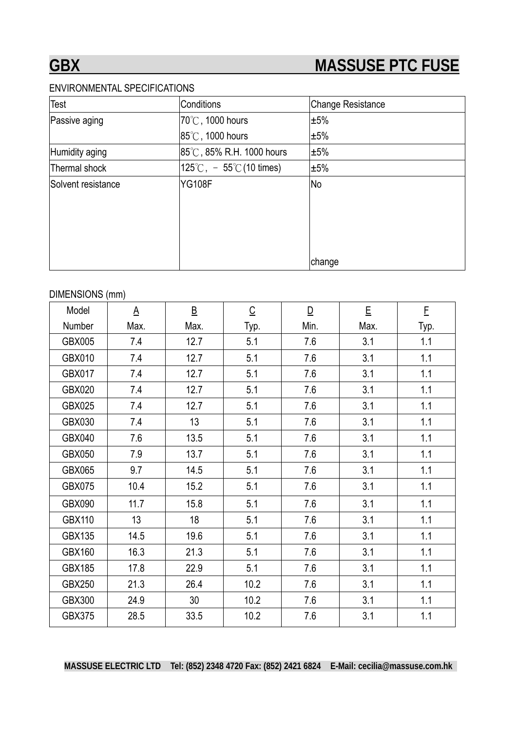#### ENVIRONMENTAL SPECIFICATIONS

| <b>Test</b>        | Conditions                                  | <b>Change Resistance</b> |  |
|--------------------|---------------------------------------------|--------------------------|--|
| Passive aging      | 70°C, 1000 hours                            | ±5%                      |  |
|                    | 85°C, 1000 hours                            | ±5%                      |  |
| Humidity aging     | 85°C, 85% R.H. 1000 hours                   | ±5%                      |  |
| Thermal shock      | $125^{\circ}$ C, $-55^{\circ}$ C (10 times) | ±5%                      |  |
| Solvent resistance | <b>YG108F</b>                               | <b>No</b>                |  |
|                    |                                             |                          |  |
|                    |                                             |                          |  |
|                    |                                             |                          |  |
|                    |                                             |                          |  |
|                    |                                             | change                   |  |

#### DIMENSIONS (mm)

| Model         | $\underline{A}$ | $\overline{\mathsf{B}}$ | $\overline{C}$ | $\overline{\mathsf{D}}$ | E    | E    |
|---------------|-----------------|-------------------------|----------------|-------------------------|------|------|
| Number        | Max.            | Max.                    | Typ.           | Min.                    | Max. | Typ. |
| <b>GBX005</b> | 7.4             | 12.7                    | 5.1            | 7.6                     | 3.1  | 1.1  |
| GBX010        | 7.4             | 12.7                    | 5.1            | 7.6                     | 3.1  | 1.1  |
| <b>GBX017</b> | 7.4             | 12.7                    | 5.1            | 7.6                     | 3.1  | 1.1  |
| <b>GBX020</b> | 7.4             | 12.7                    | 5.1            | 7.6                     | 3.1  | 1.1  |
| <b>GBX025</b> | 7.4             | 12.7                    | 5.1            | 7.6                     | 3.1  | 1.1  |
| GBX030        | 7.4             | 13                      | 5.1            | 7.6                     | 3.1  | 1.1  |
| <b>GBX040</b> | 7.6             | 13.5                    | 5.1            | 7.6                     | 3.1  | 1.1  |
| <b>GBX050</b> | 7.9             | 13.7                    | 5.1            | 7.6                     | 3.1  | 1.1  |
| GBX065        | 9.7             | 14.5                    | 5.1            | 7.6                     | 3.1  | 1.1  |
| <b>GBX075</b> | 10.4            | 15.2                    | 5.1            | 7.6                     | 3.1  | 1.1  |
| <b>GBX090</b> | 11.7            | 15.8                    | 5.1            | 7.6                     | 3.1  | 1.1  |
| <b>GBX110</b> | 13              | 18                      | 5.1            | 7.6                     | 3.1  | 1.1  |
| <b>GBX135</b> | 14.5            | 19.6                    | 5.1            | 7.6                     | 3.1  | 1.1  |
| <b>GBX160</b> | 16.3            | 21.3                    | 5.1            | 7.6                     | 3.1  | 1.1  |
| <b>GBX185</b> | 17.8            | 22.9                    | 5.1            | 7.6                     | 3.1  | 1.1  |
| <b>GBX250</b> | 21.3            | 26.4                    | 10.2           | 7.6                     | 3.1  | 1.1  |
| <b>GBX300</b> | 24.9            | 30                      | 10.2           | 7.6                     | 3.1  | 1.1  |
| <b>GBX375</b> | 28.5            | 33.5                    | 10.2           | 7.6                     | 3.1  | 1.1  |

**MASSUSE ELECTRIC LTD Tel: (852) 2348 4720 Fax: (852) 2421 6824 E-Mail: cecilia@massuse.com.hk**